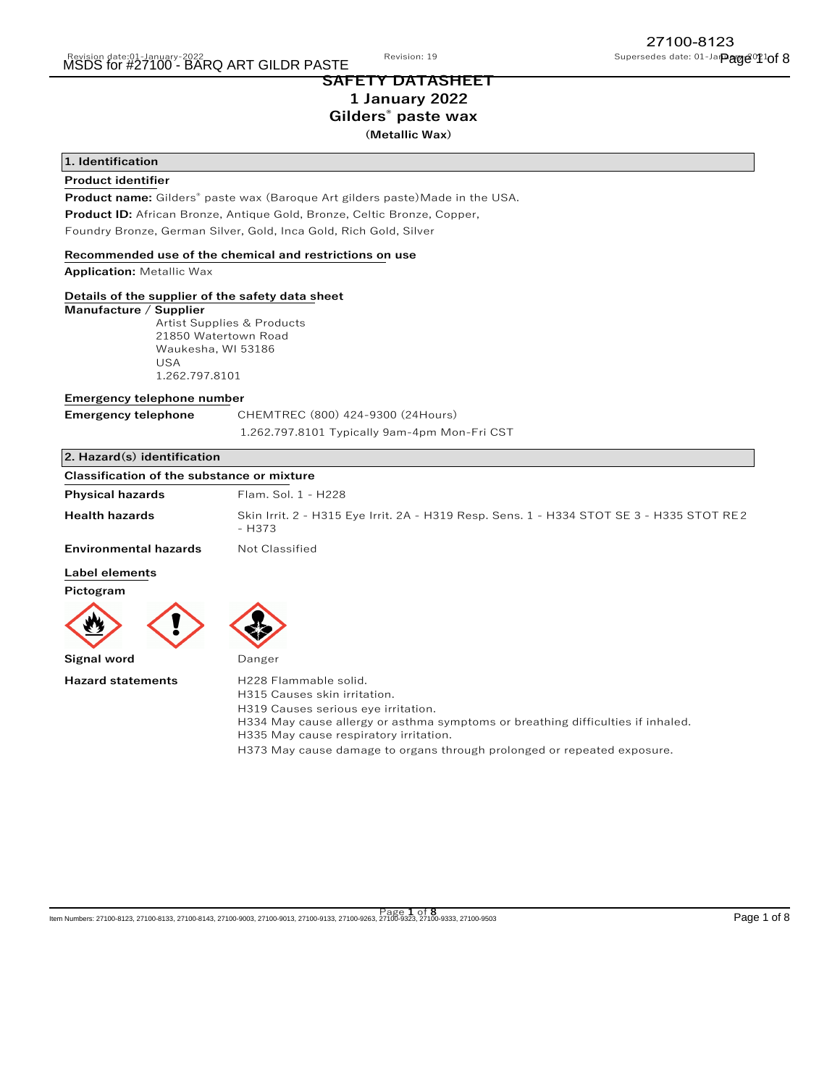## **SAFETY DATASHEET 1 January 2022 Gilders® paste wax (Metallic Wax)**

## **1. Identification**

## **Product identifier**

**Product name:** Gilders® paste wax (Baroque Art gilders paste)Made in the USA. **Product ID:** African Bronze, Antique Gold, Bronze, Celtic Bronze, Copper, Foundry Bronze, German Silver, Gold, Inca Gold, Rich Gold, Silver

## **Recommended use of the chemical and restrictions on use**

**Application:** Metallic Wax

## **Details of the supplier of the safety data sheet**

#### **Manufacture / Supplier**

 Artist Supplies & Products 21850 Watertown Road Waukesha, WI 53186 USA 1.262.797.8101

## **Emergency telephone number**

| <b>Emergency telephone</b> | CHEMTREC (800) 424-9300 (24Hours)            |  |
|----------------------------|----------------------------------------------|--|
|                            | 1.262.797.8101 Typically 9am-4pm Mon-Fri CST |  |

## **2. Hazard(s) identification**

| <b>Classification of the substance or mixture</b> |                                                                                                    |
|---------------------------------------------------|----------------------------------------------------------------------------------------------------|
| <b>Physical hazards</b>                           | Flam. Sol. 1 - H228                                                                                |
| <b>Health hazards</b>                             | Skin Irrit. 2 - H315 Eye Irrit. 2A - H319 Resp. Sens. 1 - H334 STOT SE 3 - H335 STOT RE2<br>- H373 |
| <b>Environmental hazards</b>                      | Not Classified                                                                                     |
| l ahal alamante.                                  |                                                                                                    |

## **Label elements**

**Pictogram**



**Hazard statements** H228 Flammable solid. H315 Causes skin irritation.

H319 Causes serious eye irritation.

H334 May cause allergy or asthma symptoms or breathing difficulties if inhaled.

- H335 May cause respiratory irritation.
	- H373 May cause damage to organs through prolonged or repeated exposure.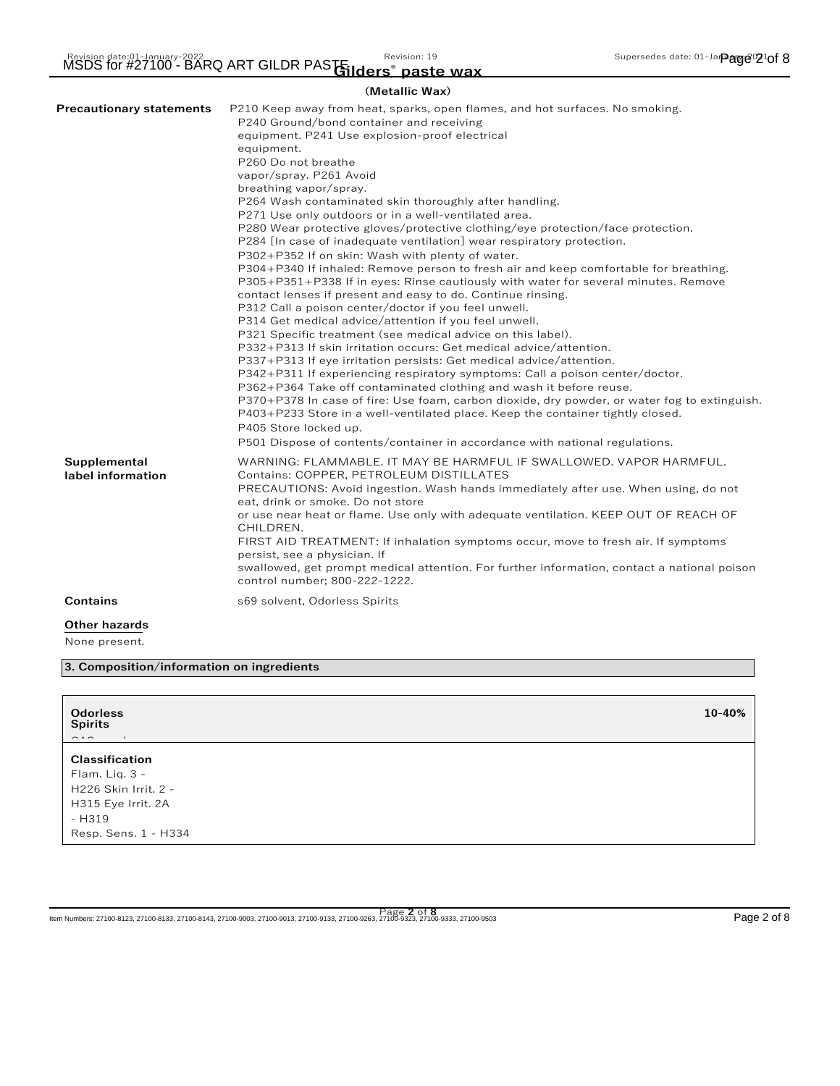| DS for #27100 - BARQ ART GILDR PAS Gilders <sup>®</sup> paste wax. |                |  |
|--------------------------------------------------------------------|----------------|--|
|                                                                    | (Metallic Wax) |  |

| <b>Precautionary statements</b>   | P210 Keep away from heat, sparks, open flames, and hot surfaces. No smoking.<br>P240 Ground/bond container and receiving<br>equipment. P241 Use explosion-proof electrical<br>equipment.<br>P260 Do not breathe<br>vapor/spray. P261 Avoid<br>breathing vapor/spray.<br>P264 Wash contaminated skin thoroughly after handling.<br>P271 Use only outdoors or in a well-ventilated area.<br>P280 Wear protective gloves/protective clothing/eye protection/face protection.<br>P284 [In case of inadequate ventilation] wear respiratory protection.<br>P302+P352 If on skin: Wash with plenty of water.<br>P304+P340 If inhaled: Remove person to fresh air and keep comfortable for breathing.<br>P305+P351+P338 If in eyes: Rinse cautiously with water for several minutes. Remove<br>contact lenses if present and easy to do. Continue rinsing.<br>P312 Call a poison center/doctor if you feel unwell.<br>P314 Get medical advice/attention if you feel unwell.<br>P321 Specific treatment (see medical advice on this label).<br>P332+P313 If skin irritation occurs: Get medical advice/attention.<br>P337+P313 If eye irritation persists: Get medical advice/attention.<br>P342+P311 If experiencing respiratory symptoms: Call a poison center/doctor.<br>P362+P364 Take off contaminated clothing and wash it before reuse.<br>P370+P378 In case of fire: Use foam, carbon dioxide, dry powder, or water fog to extinguish.<br>P403+P233 Store in a well-ventilated place. Keep the container tightly closed.<br>P405 Store locked up.<br>P501 Dispose of contents/container in accordance with national regulations. |
|-----------------------------------|----------------------------------------------------------------------------------------------------------------------------------------------------------------------------------------------------------------------------------------------------------------------------------------------------------------------------------------------------------------------------------------------------------------------------------------------------------------------------------------------------------------------------------------------------------------------------------------------------------------------------------------------------------------------------------------------------------------------------------------------------------------------------------------------------------------------------------------------------------------------------------------------------------------------------------------------------------------------------------------------------------------------------------------------------------------------------------------------------------------------------------------------------------------------------------------------------------------------------------------------------------------------------------------------------------------------------------------------------------------------------------------------------------------------------------------------------------------------------------------------------------------------------------------------------------------------------------------------------------------------------------|
| Supplemental<br>label information | WARNING: FLAMMABLE. IT MAY BE HARMFUL IF SWALLOWED. VAPOR HARMFUL.<br>Contains: COPPER, PETROLEUM DISTILLATES<br>PRECAUTIONS: Avoid ingestion. Wash hands immediately after use. When using, do not<br>eat, drink or smoke. Do not store<br>or use near heat or flame. Use only with adequate ventilation. KEEP OUT OF REACH OF<br>CHILDREN.<br>FIRST AID TREATMENT: If inhalation symptoms occur, move to fresh air. If symptoms<br>persist, see a physician. If<br>swallowed, get prompt medical attention. For further information, contact a national poison<br>control number; 800-222-1222.                                                                                                                                                                                                                                                                                                                                                                                                                                                                                                                                                                                                                                                                                                                                                                                                                                                                                                                                                                                                                                |
| <b>Contains</b>                   | s69 solvent, Odorless Spirits                                                                                                                                                                                                                                                                                                                                                                                                                                                                                                                                                                                                                                                                                                                                                                                                                                                                                                                                                                                                                                                                                                                                                                                                                                                                                                                                                                                                                                                                                                                                                                                                    |
| Other hazards                     |                                                                                                                                                                                                                                                                                                                                                                                                                                                                                                                                                                                                                                                                                                                                                                                                                                                                                                                                                                                                                                                                                                                                                                                                                                                                                                                                                                                                                                                                                                                                                                                                                                  |
| None present.                     |                                                                                                                                                                                                                                                                                                                                                                                                                                                                                                                                                                                                                                                                                                                                                                                                                                                                                                                                                                                                                                                                                                                                                                                                                                                                                                                                                                                                                                                                                                                                                                                                                                  |

**3. Composition/information on ingredients**

| <b>Odorless</b><br><b>Spirits</b><br>$\frac{1}{2} \left( \begin{array}{ccc} 1 & 0 & 0 \\ 0 & 1 & 0 \\ 0 & 0 & 0 \end{array} \right) = \frac{1}{2} \left( \begin{array}{ccc} 1 & 0 & 0 \\ 0 & 1 & 0 \\ 0 & 0 & 0 \\ 0 & 0 & 0 \end{array} \right)$<br>$\sim$ | 10-40% |
|-------------------------------------------------------------------------------------------------------------------------------------------------------------------------------------------------------------------------------------------------------------|--------|
| <b>Classification</b><br>Flam. Lig. 3 -<br>H226 Skin Irrit. 2 -                                                                                                                                                                                             |        |
| H315 Eye Irrit. 2A<br>- H319<br>Resp. Sens. 1 - H334                                                                                                                                                                                                        |        |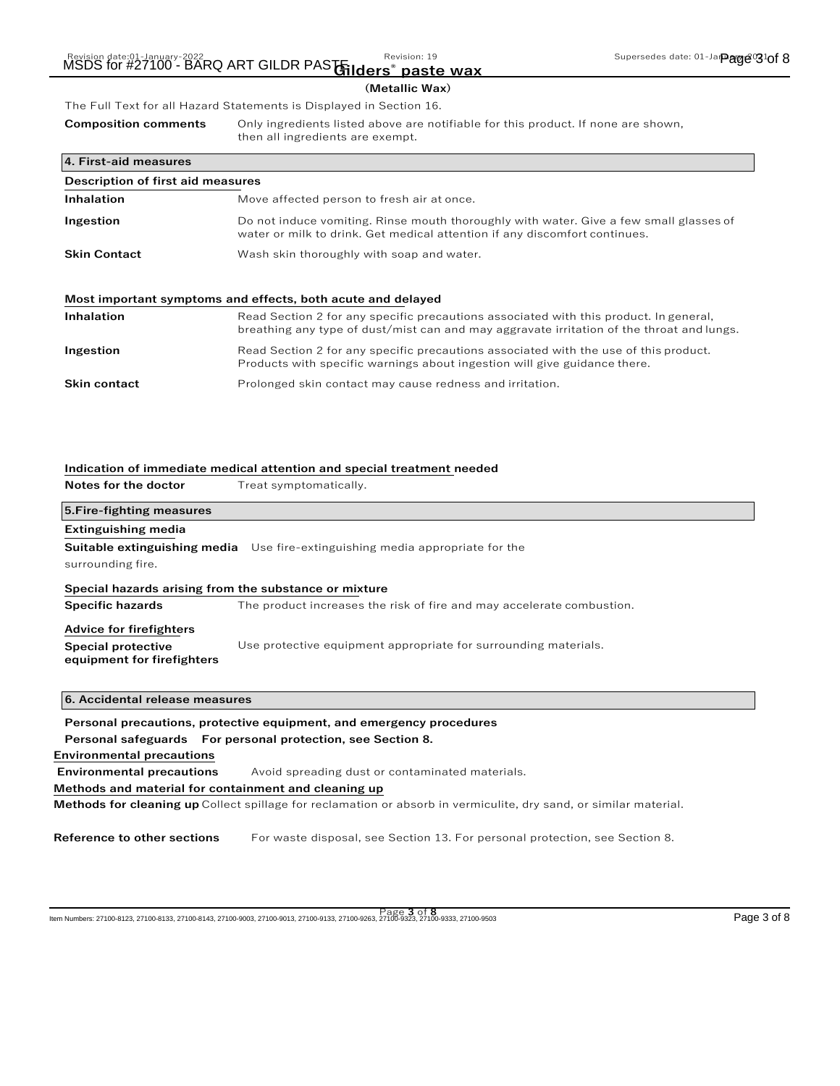# **(Metallic Wax)**

The Full Text for all Hazard Statements is Displayed in Section 16. **Composition comments** Only ingredients listed above are notifiable for this product. If none are shown, then all ingredients are exempt.

| 4. First-aid measures             |                                                                                                                                                                      |
|-----------------------------------|----------------------------------------------------------------------------------------------------------------------------------------------------------------------|
| Description of first aid measures |                                                                                                                                                                      |
| Inhalation                        | Move affected person to fresh air at once.                                                                                                                           |
| Ingestion                         | Do not induce vomiting. Rinse mouth thoroughly with water. Give a few small glasses of<br>water or milk to drink. Get medical attention if any discomfort continues. |
| <b>Skin Contact</b>               | Wash skin thoroughly with soap and water.                                                                                                                            |
|                                   | Most important symptoms and effects, both acute and delayed                                                                                                          |
| Inhalation                        | Read Section 2 for any specific precautions associated with this product. In general,                                                                                |

| 11111010LIVII       | The au-Section 2 Tor any specific precautions associated with this product. In general,<br>breathing any type of dust/mist can and may aggravate irritation of the throat and lungs. |
|---------------------|--------------------------------------------------------------------------------------------------------------------------------------------------------------------------------------|
| Ingestion           | Read Section 2 for any specific precautions associated with the use of this product.<br>Products with specific warnings about ingestion will give guidance there.                    |
| <b>Skin contact</b> | Prolonged skin contact may cause redness and irritation.                                                                                                                             |

| Notes for the doctor                                    | Treat symptomatically.                                                               |
|---------------------------------------------------------|--------------------------------------------------------------------------------------|
| 5. Fire-fighting measures                               |                                                                                      |
| <b>Extinguishing media</b>                              |                                                                                      |
|                                                         | <b>Suitable extinguishing media</b> Use fire-extinguishing media appropriate for the |
| surrounding fire.                                       |                                                                                      |
|                                                         | Special hazards arising from the substance or mixture                                |
| <b>Specific hazards</b>                                 | The product increases the risk of fire and may accelerate combustion.                |
| <b>Advice for firefighters</b>                          |                                                                                      |
| <b>Special protective</b><br>equipment for firefighters | Use protective equipment appropriate for surrounding materials.                      |
|                                                         |                                                                                      |
| 6. Accidental release measures                          |                                                                                      |
|                                                         | Personal precautions, protective equipment, and emergency procedures                 |
|                                                         | Personal safeguards For personal protection, see Section 8.                          |
| <b>Environmental precautions</b>                        |                                                                                      |

**Environmental precautions** Avoid spreading dust or contaminated materials.

**Indication of immediate medical attention and special treatment needed**

## **Methods and material for containment and cleaning up**

**Methods for cleaning up** Collect spillage for reclamation or absorb in vermiculite, dry sand, or similar material.

**Reference to other sections** For waste disposal, see Section 13. For personal protection, see Section 8.

Page **3** of **8** Item Numbers: 27100-8123, 27100-8133, 27100-8143, 27100-9003, 27100-9013, 27100-9133, 27100-9263, 27100-9323, 27100-9333, 27100-9503 Page 3 of 8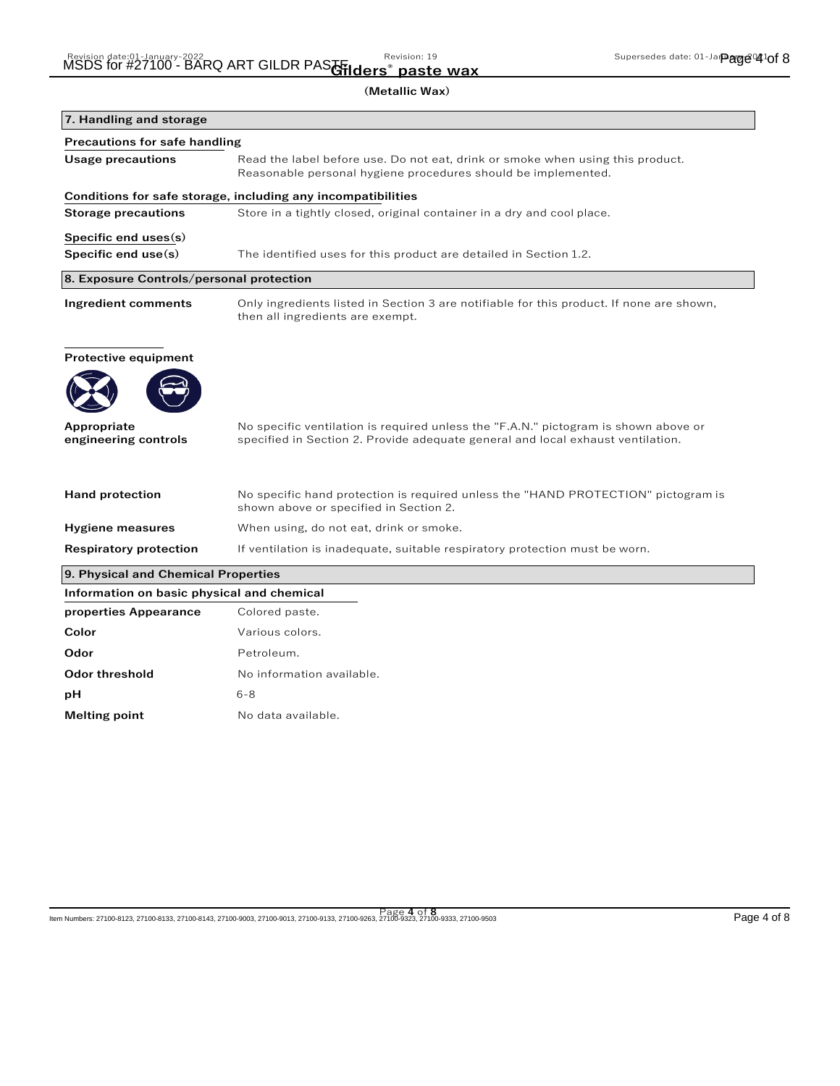|                                            | (Metallic Wax)                                                                                                                                                         |
|--------------------------------------------|------------------------------------------------------------------------------------------------------------------------------------------------------------------------|
| 7. Handling and storage                    |                                                                                                                                                                        |
| <b>Precautions for safe handling</b>       |                                                                                                                                                                        |
| <b>Usage precautions</b>                   | Read the label before use. Do not eat, drink or smoke when using this product.<br>Reasonable personal hygiene procedures should be implemented.                        |
|                                            | Conditions for safe storage, including any incompatibilities                                                                                                           |
| <b>Storage precautions</b>                 | Store in a tightly closed, original container in a dry and cool place.                                                                                                 |
| Specific end uses(s)                       |                                                                                                                                                                        |
| Specific end use(s)                        | The identified uses for this product are detailed in Section 1.2.                                                                                                      |
| 8. Exposure Controls/personal protection   |                                                                                                                                                                        |
| <b>Ingredient comments</b>                 | Only ingredients listed in Section 3 are notifiable for this product. If none are shown,<br>then all ingredients are exempt.                                           |
| Protective equipment                       |                                                                                                                                                                        |
| Appropriate<br>engineering controls        | No specific ventilation is required unless the "F.A.N." pictogram is shown above or<br>specified in Section 2. Provide adequate general and local exhaust ventilation. |
| <b>Hand protection</b>                     | No specific hand protection is required unless the "HAND PROTECTION" pictogram is<br>shown above or specified in Section 2.                                            |
| <b>Hygiene measures</b>                    | When using, do not eat, drink or smoke.                                                                                                                                |
| <b>Respiratory protection</b>              | If ventilation is inadequate, suitable respiratory protection must be worn.                                                                                            |
| 9. Physical and Chemical Properties        |                                                                                                                                                                        |
| Information on basic physical and chemical |                                                                                                                                                                        |
| properties Appearance                      | Colored paste.                                                                                                                                                         |
| Color                                      | Various colors.                                                                                                                                                        |
| Odor                                       | Petroleum.                                                                                                                                                             |
| Odor threshold                             | No information available.                                                                                                                                              |
| рH                                         | $6 - 8$                                                                                                                                                                |

**Melting point** No data available.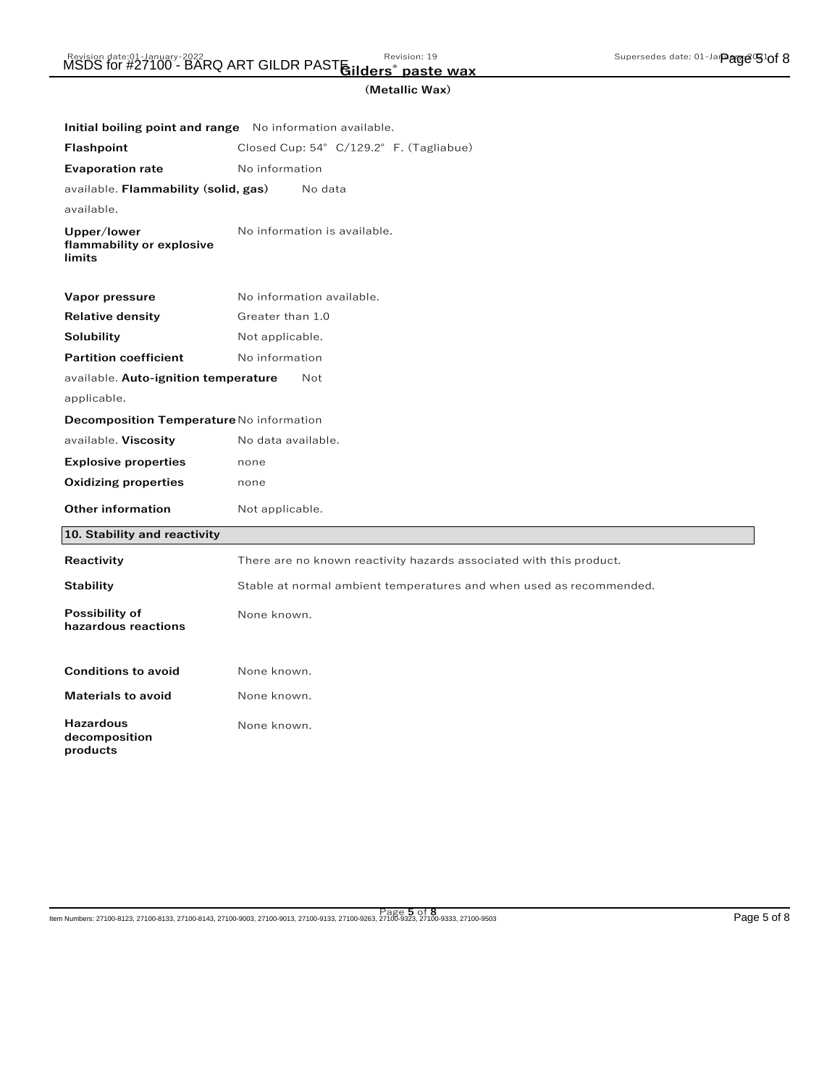## Revision date:01-January-2022<br>MSDS for #27100 - BARQ ART GILDR PASTE:114ers® paste way **Gilders® paste wax**

| Initial boiling point and range No information available. |                                                                     |
|-----------------------------------------------------------|---------------------------------------------------------------------|
| <b>Flashpoint</b>                                         | Closed Cup: 54° C/129.2° F. (Tagliabue)                             |
| <b>Evaporation rate</b>                                   | No information                                                      |
| available. Flammability (solid, gas)                      | No data                                                             |
| available.                                                |                                                                     |
| Upper/lower<br>flammability or explosive<br>limits        | No information is available.                                        |
| Vapor pressure                                            | No information available.                                           |
| <b>Relative density</b>                                   | Greater than 1.0                                                    |
| Solubility                                                | Not applicable.                                                     |
| <b>Partition coefficient</b>                              | No information                                                      |
| available. Auto-ignition temperature                      | Not                                                                 |
| applicable.                                               |                                                                     |
| Decomposition Temperature No information                  |                                                                     |
| available. Viscosity                                      | No data available.                                                  |
| <b>Explosive properties</b>                               | none                                                                |
| <b>Oxidizing properties</b>                               | none                                                                |
| <b>Other information</b>                                  | Not applicable.                                                     |
| 10. Stability and reactivity                              |                                                                     |
| Reactivity                                                | There are no known reactivity hazards associated with this product. |
| Stability                                                 | Stable at normal ambient temperatures and when used as recommended. |
| Possibility of<br>hazardous reactions                     | None known.                                                         |
| <b>Conditions to avoid</b>                                | None known.                                                         |
| <b>Materials to avoid</b>                                 | None known.                                                         |
| <b>Hazardous</b><br>decomposition<br>products             | None known.                                                         |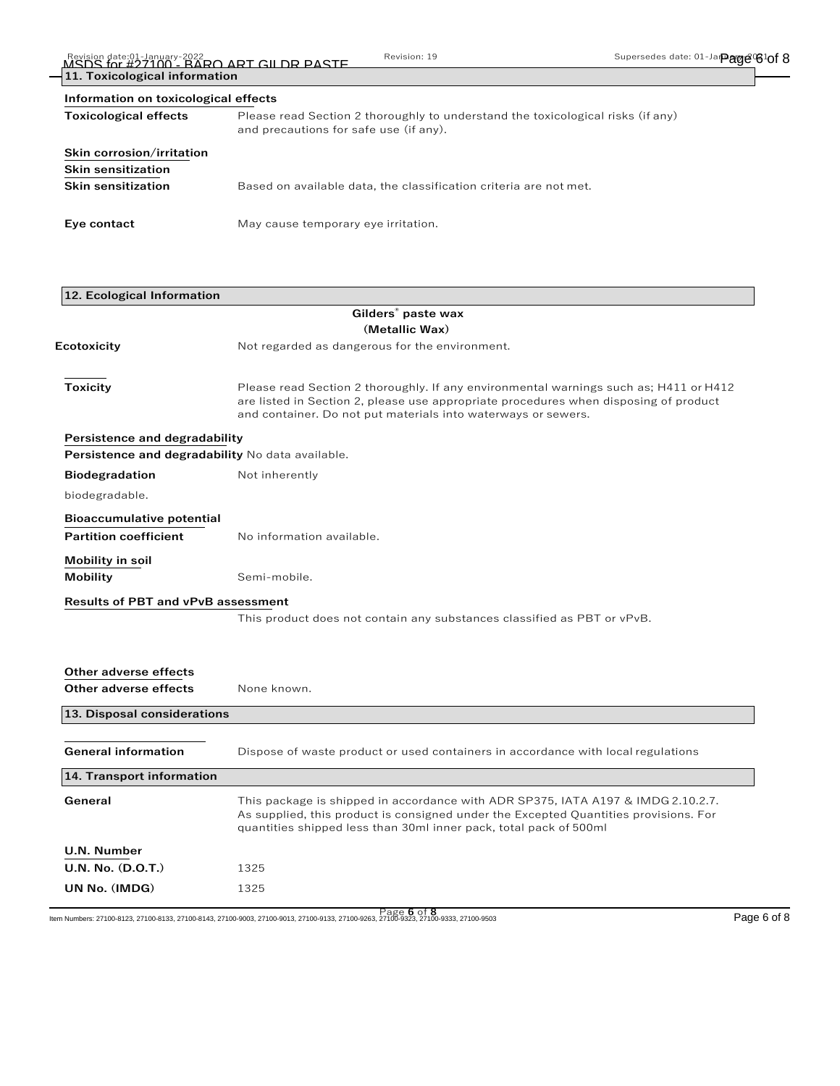| 11. Toxicological information<br>Information on toxicological effects |                                                                   |
|-----------------------------------------------------------------------|-------------------------------------------------------------------|
|                                                                       |                                                                   |
| Skin corrosion/irritation                                             |                                                                   |
| <b>Skin sensitization</b>                                             |                                                                   |
| <b>Skin sensitization</b>                                             | Based on available data, the classification criteria are not met. |
| Eye contact                                                           | May cause temporary eye irritation.                               |
|                                                                       |                                                                   |

| Please read Section 2 thoroughly. If any environmental warnings such as; H411 or H412<br>are listed in Section 2, please use appropriate procedures when disposing of product |
|-------------------------------------------------------------------------------------------------------------------------------------------------------------------------------|
|                                                                                                                                                                               |
|                                                                                                                                                                               |
|                                                                                                                                                                               |
|                                                                                                                                                                               |
|                                                                                                                                                                               |
|                                                                                                                                                                               |
|                                                                                                                                                                               |
|                                                                                                                                                                               |
|                                                                                                                                                                               |
|                                                                                                                                                                               |
|                                                                                                                                                                               |
|                                                                                                                                                                               |
|                                                                                                                                                                               |
|                                                                                                                                                                               |
|                                                                                                                                                                               |
|                                                                                                                                                                               |
| Dispose of waste product or used containers in accordance with local regulations                                                                                              |
|                                                                                                                                                                               |
| This package is shipped in accordance with ADR SP375, IATA A197 & IMDG 2.10.2.7.<br>As supplied, this product is consigned under the Excepted Quantities provisions. For      |
|                                                                                                                                                                               |
|                                                                                                                                                                               |
|                                                                                                                                                                               |

Page **6** of **8** Item Numbers: 27100-8123, 27100-8133, 27100-8143, 27100-9003, 27100-9013, 27100-9133, 27100-9263, 27100-9323, 27100-9333, 27100-9503 Page 6 of 8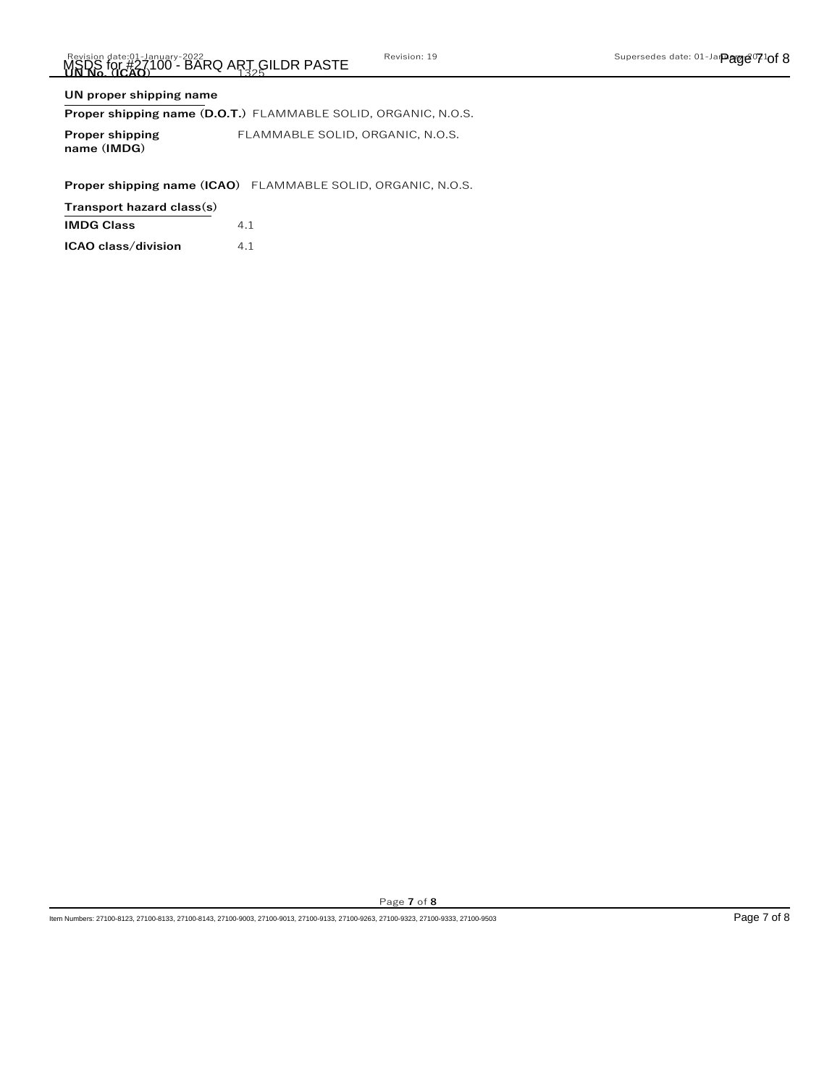## **UN proper shipping name**

## **Proper shipping name (D.O.T.)** FLAMMABLE SOLID, ORGANIC, N.O.S.

**Proper shipping name (IMDG)** FLAMMABLE SOLID, ORGANIC, N.O.S.

**Proper shipping name (ICAO)** FLAMMABLE SOLID, ORGANIC, N.O.S.

**Transport hazard class(s)**

| 4.1 |
|-----|
|     |

| ICAO class/division | 4.1 |
|---------------------|-----|
|---------------------|-----|